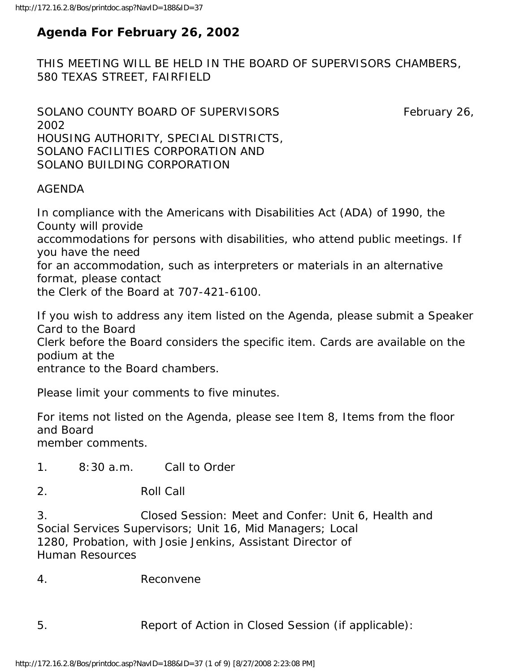# **Agenda For February 26, 2002**

THIS MEETING WILL BE HELD IN THE BOARD OF SUPERVISORS CHAMBERS, 580 TEXAS STREET, FAIRFIELD

SOLANO COUNTY BOARD OF SUPERVISORS February 26, 2002 HOUSING AUTHORITY, SPECIAL DISTRICTS, SOLANO FACILITIES CORPORATION AND SOLANO BUILDING CORPORATION

### AGENDA

In compliance with the Americans with Disabilities Act (ADA) of 1990, the County will provide accommodations for persons with disabilities, who attend public meetings. If you have the need for an accommodation, such as interpreters or materials in an alternative format, please contact the Clerk of the Board at 707-421-6100.

If you wish to address any item listed on the Agenda, please submit a Speaker Card to the Board Clerk before the Board considers the specific item. Cards are available on the podium at the entrance to the Board chambers.

Please limit your comments to five minutes.

For items not listed on the Agenda, please see Item 8, Items from the floor and Board member comments.

1. 8:30 a.m. Call to Order

2. Roll Call

3. Closed Session: Meet and Confer: Unit 6, Health and Social Services Supervisors; Unit 16, Mid Managers; Local 1280, Probation, with Josie Jenkins, Assistant Director of Human Resources

4. Reconvene

5. Report of Action in Closed Session (if applicable):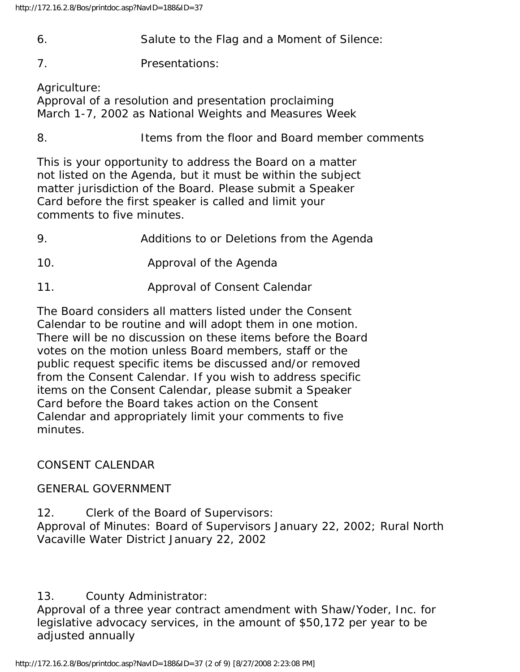- 6. Salute to the Flag and a Moment of Silence:
- 7. Presentations:

Agriculture:

Approval of a resolution and presentation proclaiming March 1-7, 2002 as National Weights and Measures Week

8. Items from the floor and Board member comments

This is your opportunity to address the Board on a matter not listed on the Agenda, but it must be within the subject matter jurisdiction of the Board. Please submit a Speaker Card before the first speaker is called and limit your comments to five minutes.

- 9. Additions to or Deletions from the Agenda
- 10. Approval of the Agenda
- 11. Approval of Consent Calendar

The Board considers all matters listed under the Consent Calendar to be routine and will adopt them in one motion. There will be no discussion on these items before the Board votes on the motion unless Board members, staff or the public request specific items be discussed and/or removed from the Consent Calendar. If you wish to address specific items on the Consent Calendar, please submit a Speaker Card before the Board takes action on the Consent Calendar and appropriately limit your comments to five minutes.

## CONSENT CALENDAR

## GENERAL GOVERNMENT

12. Clerk of the Board of Supervisors: Approval of Minutes: Board of Supervisors January 22, 2002; Rural North Vacaville Water District January 22, 2002

## 13. County Administrator:

Approval of a three year contract amendment with Shaw/Yoder, Inc. for legislative advocacy services, in the amount of \$50,172 per year to be adjusted annually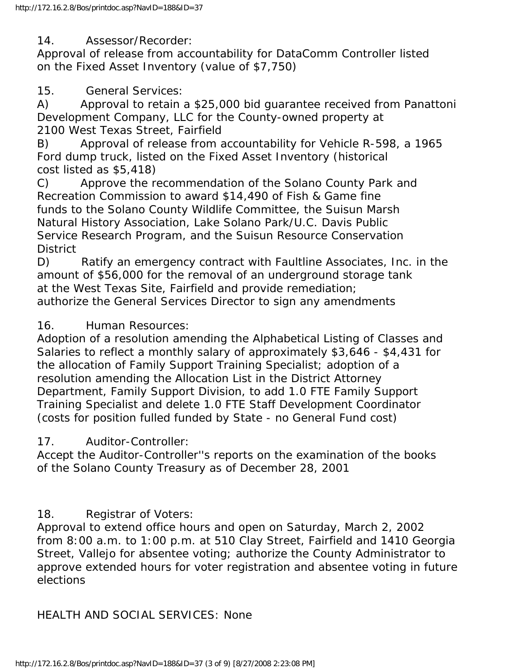14. Assessor/Recorder:

Approval of release from accountability for DataComm Controller listed on the Fixed Asset Inventory (value of \$7,750)

15. General Services:

A) Approval to retain a \$25,000 bid guarantee received from Panattoni Development Company, LLC for the County-owned property at 2100 West Texas Street, Fairfield

B) Approval of release from accountability for Vehicle R-598, a 1965 Ford dump truck, listed on the Fixed Asset Inventory (historical cost listed as \$5,418)

C) Approve the recommendation of the Solano County Park and Recreation Commission to award \$14,490 of Fish & Game fine funds to the Solano County Wildlife Committee, the Suisun Marsh Natural History Association, Lake Solano Park/U.C. Davis Public Service Research Program, and the Suisun Resource Conservation **District** 

D) Ratify an emergency contract with Faultline Associates, Inc. in the amount of \$56,000 for the removal of an underground storage tank at the West Texas Site, Fairfield and provide remediation; authorize the General Services Director to sign any amendments

## 16. Human Resources:

Adoption of a resolution amending the Alphabetical Listing of Classes and Salaries to reflect a monthly salary of approximately \$3,646 - \$4,431 for the allocation of Family Support Training Specialist; adoption of a resolution amending the Allocation List in the District Attorney Department, Family Support Division, to add 1.0 FTE Family Support Training Specialist and delete 1.0 FTE Staff Development Coordinator (costs for position fulled funded by State - no General Fund cost)

## 17. Auditor-Controller:

Accept the Auditor-Controller''s reports on the examination of the books of the Solano County Treasury as of December 28, 2001

## 18. Registrar of Voters:

Approval to extend office hours and open on Saturday, March 2, 2002 from 8:00 a.m. to 1:00 p.m. at 510 Clay Street, Fairfield and 1410 Georgia Street, Vallejo for absentee voting; authorize the County Administrator to approve extended hours for voter registration and absentee voting in future elections

HEALTH AND SOCIAL SERVICES: None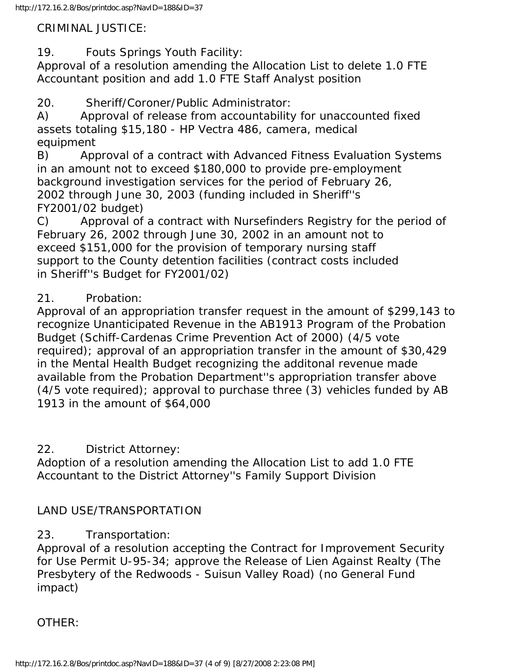### CRIMINAL JUSTICE:

19. Fouts Springs Youth Facility:

Approval of a resolution amending the Allocation List to delete 1.0 FTE Accountant position and add 1.0 FTE Staff Analyst position

20. Sheriff/Coroner/Public Administrator:

A) Approval of release from accountability for unaccounted fixed assets totaling \$15,180 - HP Vectra 486, camera, medical equipment

B) Approval of a contract with Advanced Fitness Evaluation Systems in an amount not to exceed \$180,000 to provide pre-employment background investigation services for the period of February 26, 2002 through June 30, 2003 (funding included in Sheriff''s FY2001/02 budget)

C) Approval of a contract with Nursefinders Registry for the period of February 26, 2002 through June 30, 2002 in an amount not to exceed \$151,000 for the provision of temporary nursing staff support to the County detention facilities (contract costs included in Sheriff''s Budget for FY2001/02)

### 21. Probation:

Approval of an appropriation transfer request in the amount of \$299,143 to recognize Unanticipated Revenue in the AB1913 Program of the Probation Budget (Schiff-Cardenas Crime Prevention Act of 2000) (4/5 vote required); approval of an appropriation transfer in the amount of \$30,429 in the Mental Health Budget recognizing the additonal revenue made available from the Probation Department''s appropriation transfer above (4/5 vote required); approval to purchase three (3) vehicles funded by AB 1913 in the amount of \$64,000

### 22. District Attorney:

Adoption of a resolution amending the Allocation List to add 1.0 FTE Accountant to the District Attorney''s Family Support Division

### LAND USE/TRANSPORTATION

## 23. Transportation:

Approval of a resolution accepting the Contract for Improvement Security for Use Permit U-95-34; approve the Release of Lien Against Realty (The Presbytery of the Redwoods - Suisun Valley Road) (no General Fund impact)

OTHER: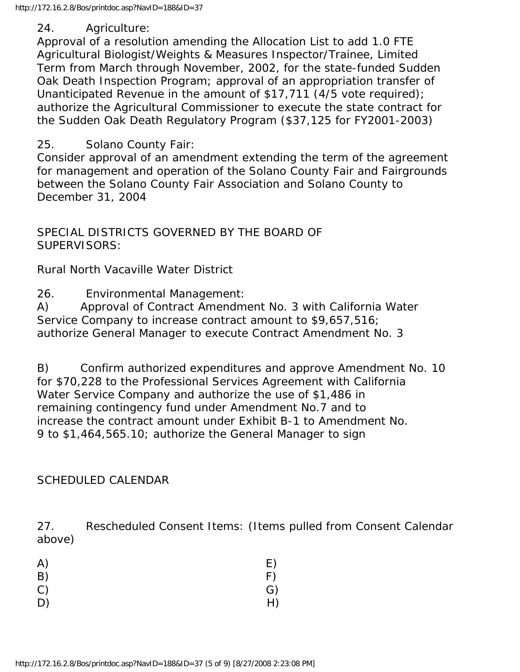### 24. Agriculture:

Approval of a resolution amending the Allocation List to add 1.0 FTE Agricultural Biologist/Weights & Measures Inspector/Trainee, Limited Term from March through November, 2002, for the state-funded Sudden Oak Death Inspection Program; approval of an appropriation transfer of Unanticipated Revenue in the amount of \$17,711 (4/5 vote required); authorize the Agricultural Commissioner to execute the state contract for the Sudden Oak Death Regulatory Program (\$37,125 for FY2001-2003)

### 25. Solano County Fair:

Consider approval of an amendment extending the term of the agreement for management and operation of the Solano County Fair and Fairgrounds between the Solano County Fair Association and Solano County to December 31, 2004

SPECIAL DISTRICTS GOVERNED BY THE BOARD OF SUPERVISORS:

Rural North Vacaville Water District

26. Environmental Management:

A) Approval of Contract Amendment No. 3 with California Water Service Company to increase contract amount to \$9,657,516; authorize General Manager to execute Contract Amendment No. 3

B) Confirm authorized expenditures and approve Amendment No. 10 for \$70,228 to the Professional Services Agreement with California Water Service Company and authorize the use of \$1,486 in remaining contingency fund under Amendment No.7 and to increase the contract amount under Exhibit B-1 to Amendment No. 9 to \$1,464,565.10; authorize the General Manager to sign

## SCHEDULED CALENDAR

27. Rescheduled Consent Items: (Items pulled from Consent Calendar above)

| A) | E) |
|----|----|
| B) | F) |
| C) | G) |
| D) | H) |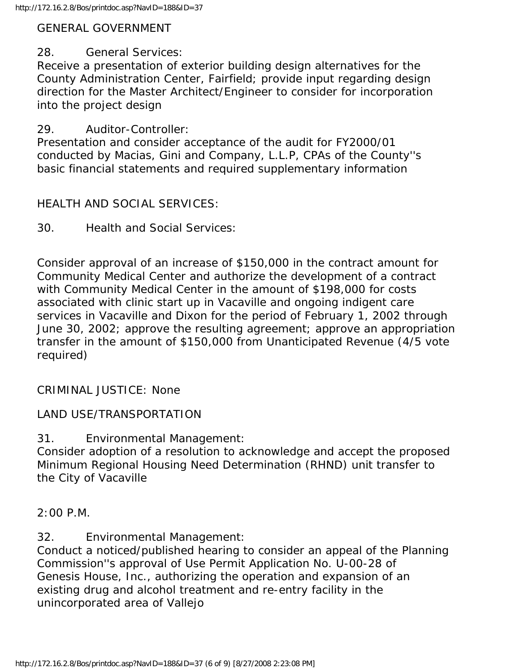#### GENERAL GOVERNMENT

#### 28. General Services:

Receive a presentation of exterior building design alternatives for the County Administration Center, Fairfield; provide input regarding design direction for the Master Architect/Engineer to consider for incorporation into the project design

#### 29. Auditor-Controller:

Presentation and consider acceptance of the audit for FY2000/01 conducted by Macias, Gini and Company, L.L.P, CPAs of the County''s basic financial statements and required supplementary information

### HEALTH AND SOCIAL SERVICES:

30. Health and Social Services:

Consider approval of an increase of \$150,000 in the contract amount for Community Medical Center and authorize the development of a contract with Community Medical Center in the amount of \$198,000 for costs associated with clinic start up in Vacaville and ongoing indigent care services in Vacaville and Dixon for the period of February 1, 2002 through June 30, 2002; approve the resulting agreement; approve an appropriation transfer in the amount of \$150,000 from Unanticipated Revenue (4/5 vote required)

#### CRIMINAL JUSTICE: None

### LAND USE/TRANSPORTATION

31. Environmental Management:

Consider adoption of a resolution to acknowledge and accept the proposed Minimum Regional Housing Need Determination (RHND) unit transfer to the City of Vacaville

2:00 P.M.

32. Environmental Management:

Conduct a noticed/published hearing to consider an appeal of the Planning Commission''s approval of Use Permit Application No. U-00-28 of Genesis House, Inc., authorizing the operation and expansion of an existing drug and alcohol treatment and re-entry facility in the unincorporated area of Vallejo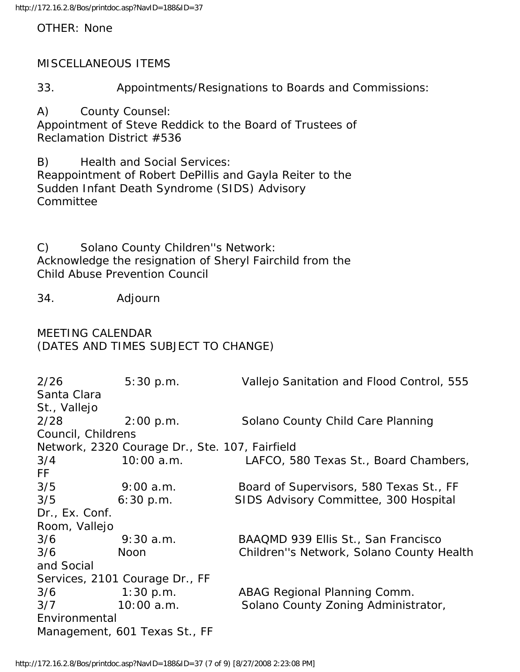OTHER: None

#### MISCELLANEOUS ITEMS

33. Appointments/Resignations to Boards and Commissions:

A) County Counsel: Appointment of Steve Reddick to the Board of Trustees of Reclamation District #536

B) Health and Social Services: Reappointment of Robert DePillis and Gayla Reiter to the Sudden Infant Death Syndrome (SIDS) Advisory **Committee** 

C) Solano County Children''s Network: Acknowledge the resignation of Sheryl Fairchild from the Child Abuse Prevention Council

34. Adjourn

#### MEETING CALENDAR (DATES AND TIMES SUBJECT TO CHANGE)

| 2/26                                           | 5:30 p.m.                      | Vallejo Sanitation and Flood Control, 555 |  |
|------------------------------------------------|--------------------------------|-------------------------------------------|--|
| Santa Clara                                    |                                |                                           |  |
| St., Vallejo                                   |                                |                                           |  |
| 2/28                                           | 2:00 p.m.                      | Solano County Child Care Planning         |  |
| Council, Childrens                             |                                |                                           |  |
| Network, 2320 Courage Dr., Ste. 107, Fairfield |                                |                                           |  |
| 3/4                                            | 10:00 a.m.                     | LAFCO, 580 Texas St., Board Chambers,     |  |
| FF.                                            |                                |                                           |  |
| 3/5                                            | 9:00a.m.                       | Board of Supervisors, 580 Texas St., FF   |  |
| 3/5                                            | 6:30 p.m.                      | SIDS Advisory Committee, 300 Hospital     |  |
| Dr., Ex. Conf.                                 |                                |                                           |  |
| Room, Vallejo                                  |                                |                                           |  |
| 3/6                                            | $9:30$ a.m.                    | BAAQMD 939 Ellis St., San Francisco       |  |
| 3/6                                            | <b>Noon</b>                    | Children"s Network, Solano County Health  |  |
| and Social                                     |                                |                                           |  |
|                                                | Services, 2101 Courage Dr., FF |                                           |  |
| $3/6$ 1:30 p.m.                                |                                | ABAG Regional Planning Comm.              |  |
| 3/7                                            | $10:00$ a.m.                   | Solano County Zoning Administrator,       |  |
| Environmental                                  |                                |                                           |  |
|                                                | Management, 601 Texas St., FF  |                                           |  |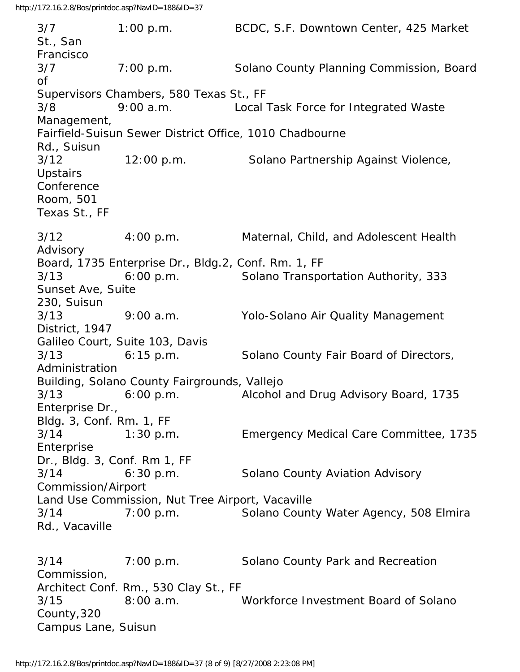3/7 1:00 p.m. BCDC, S.F. Downtown Center, 425 Market St., San Francisco 3/7 7:00 p.m. Solano County Planning Commission, Board of Supervisors Chambers, 580 Texas St., FF 3/8 9:00 a.m. Local Task Force for Integrated Waste Management, Fairfield-Suisun Sewer District Office, 1010 Chadbourne Rd., Suisun 3/12 12:00 p.m. Solano Partnership Against Violence, **Upstairs** Conference Room, 501 Texas St., FF 3/12 4:00 p.m. Maternal, Child, and Adolescent Health Advisory Board, 1735 Enterprise Dr., Bldg.2, Conf. Rm. 1, FF 3/13 6:00 p.m. Solano Transportation Authority, 333 Sunset Ave, Suite 230, Suisun 3/13 9:00 a.m. Yolo-Solano Air Quality Management District, 1947 Galileo Court, Suite 103, Davis 3/13 6:15 p.m. Solano County Fair Board of Directors, Administration Building, Solano County Fairgrounds, Vallejo 3/13 6:00 p.m. Alcohol and Drug Advisory Board, 1735 Enterprise Dr., Bldg. 3, Conf. Rm. 1, FF 3/14 1:30 p.m. Emergency Medical Care Committee, 1735 Enterprise Dr., Bldg. 3, Conf. Rm 1, FF 3/14 6:30 p.m. Solano County Aviation Advisory Commission/Airport Land Use Commission, Nut Tree Airport, Vacaville 3/14 7:00 p.m. Solano County Water Agency, 508 Elmira Rd., Vacaville 3/14 7:00 p.m. Solano County Park and Recreation Commission, Architect Conf. Rm., 530 Clay St., FF 3/15 8:00 a.m. Workforce Investment Board of Solano County,320 Campus Lane, Suisun